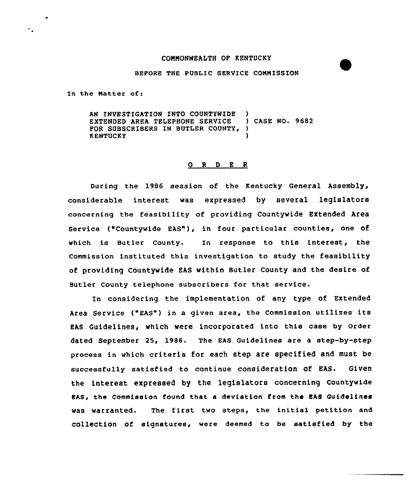#### CONNONHEALTH OF KENTUCKY

#### BEFORE THE PUBLIC SERVICE CONNISSION

In the Natter of:

٠,

AN INVESTIGATION INTO COUNTYWIDE )<br>EXTENDED AREA TELEPHONE SERVICE ) CASE NO. 9682 EXTENDED AREA TELEPHONE SERVICE FOR SUBSCRIBERS IN BUTLER COUNTY, **KENTUCKY** 

#### 0 <sup>R</sup> <sup>D</sup> E <sup>R</sup>

During the 1986 session of the Kentucky General Assembly, considerable interest was expressed by several legislators concerning the feasibility of providing countywide Extended Area Service {"Countywide EAS"), in four particular counties, one of which is Butler County. In response to this interest, the Commission instituted this investigation to study the feasibility of providing Countywide EAS within Butler County and the desire of Butler County telephone subscribers for that service.

In considering the implementation of any type of Extended Area Service {"EAS") in <sup>a</sup> given area, the Commission utilizes its EAS Guidelines, which were incorporated into this case by Order dated September 25, 1986. The EAS Guidelines are a step-by-step process in which criteria for each step are specified and must be successfully satisfied to continue consideration of EAs. Given the interest expressed by the legislators concerning Countywide EAS, the Commission found that a deviation Crom the EA8 Guidelines was warranted. The first two steps, the initial petition and COlLeCtiOn Of signatures, were deemed to be satisfied by the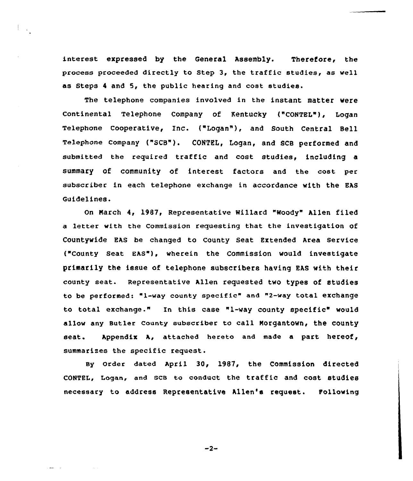interest expressed by the General Assembly. Therefore, the process proceeded directly to Step 3, the traffic studies, as well as Steps <sup>4</sup> and 5, the public hearing and cost studies.

The telephone companies involved in the instant matter were Continental Telephone Company of Kentucky ("CONTEL")< Logan Telephone cooperative, Inc. ("Logan" ), and south central Bell Telephone Company ("SCB"}. CONTEL, Logan, and SCB performed and submitted the required traffic and cost studies, including a summary of community of interest factors and the cost per subscriber in each telephone exchange in accordance with the EAS Guidelines.

On Narch 4, 1987, Representative Willard "Hoody" Allen filed a letter with the Commission requesting that the investigation of COuntywide EAS be changed to County Seat Extended Area Service ("County Seat EAS"), wherein the Commission would investigate primarily the issue of telephone subscribers having EAS with their county seat. Representative Allen requested two types of studies to be performed: "1-way county specific" and "2-way total exchange to total exchange." In this case "1-way county specific" would allow any Butler County subscriber to call Morgantown, the county seat. Appendix A, attached hereto and made a part hereof, summarizes he specific request.

By order dated April 30, 1987, the Commission directed CONTEL, Logan, and sca to conduct the traffic and cost studies necessary to address Representative Allen's request. Following

 $-2-$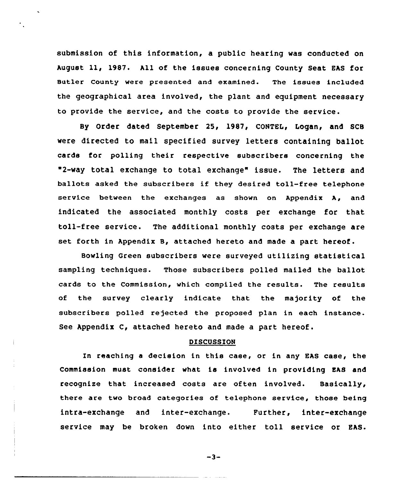submission of this information, a public hearing was conducted on August ll, 1987. All of the issues concerning County Seat EAS for Butler County were presented and examined. The issues included the geographical area involved, the plant and equipment necessary to provide the service, and the costs to provide the service.

By Order dated September 25, 1987, CONTEL, logan, and SCB were directed to mail specified survey letters containing ballot cards for polling their respective subscribers concerning the "2-way total exchange to total exchange" issue. The letters and ballots asked the subscribers if they desired toll-free telephone service between the exchanges as shown on Appendix A, and indicated the associated monthly costs per exchange for that toll-free service. The additional monthly costs per exchange are set forth in Appendix B, attached hereto and made a part hereof.

Bowling Green subscribers were surveyed utilizing statistical sampling techniques. Those subscribers polled mailed the ballot cards to the Commission, which compiled the results. The results of the survey clearly indicate that the majority of the subscribers polled rejected the proposed plan in each instance. See Appendix C, attached hereto and made a part hereof.

#### DISCUSSION

In reaching a decision in this case, or in any EAS case, the Commission must consider what is involved in providing EAS and recognize that increased costs are often involved. Basically, there are two broad categories of telephone service, those being intra-exchange and inter-exchange. Further, inter-exchange service may be broken down into either toll service or EAS.

$$
-3-
$$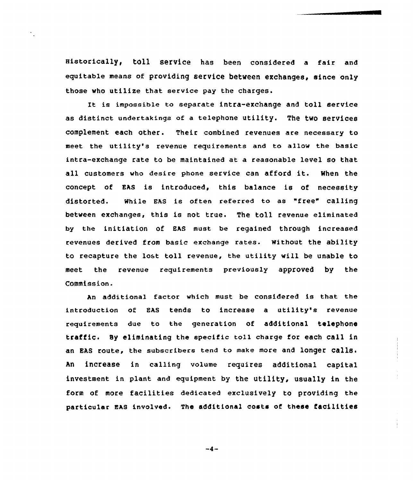Historically, toll service has been considered a fair and equitable means of providing service between exchanges, since only those who utilize that service pay the charges.

It is impossible to separate intra-exchange and toll service as distinct undertakings of a telephone utility. The two services complement each other. Their combined revenues are necessary to meet the utility's revenue requirements and to allow the basic intra-exchange rate to be maintained at a reasonable level so that all customers who desire phone service can afford it. When the concept of EAS is introduced, this balance is of necessity distorted. While EAS is often referred to as "free" calling between exchanges, this is not true. The toll revenue eliminated by the initiation of Bhs must be regained through increased revenues derived from basic exchange rates. Without the ability to recapture the lost toll revenue, the utility vill be unable to meet the revenue requirements previously approved by the Commission.

An additional factor which must be considered is that the introduction of BAS tends to increase a utility's revenue requirements due to the generation of additional telephone traffic. Sy eliminating the specific toll charge for each call in an EAs route, the subscribers tend to make more and longer calls, An increase in calling volume requires additional capital investment in plant and equipment by the utility, usually in the form of more facilities dedicated exclusively to providing the particular ZAS involved. The additional costs of these facilities

 $-4-$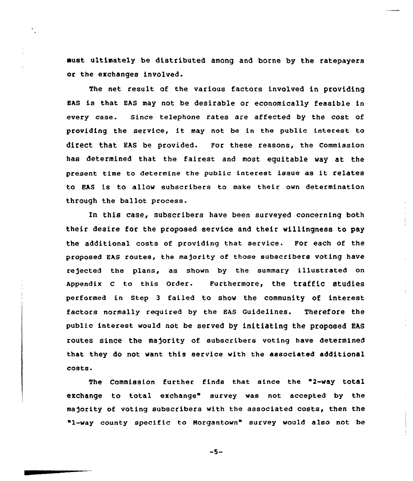must ultimately be distributed among and borne by the ratepayers or the exchanges involved.

The net result of the various factors involved in providing EAs is that EAs may not be desirable or economically feasible in every case. Since telephone rates are affected by the cost of providing the service, it may not be in the public interest to direct that RAG be provided. For these reasons, the commission has determined that the fairest and most equitable way at the present time to determine the public interest issue as it relates to EAS is to allow subscribers to make their own determination through the ballot process.

In this case, subscribers have been surveyed concerning both their desire for the proposed service and their willingness to pay the additional costs of providing that service. For each of the proposed EAS routes, the ma)ority of those subscribers voting have rejected the plans, as shown by the summary illustrated on Appendix c to this order. Furthermore, the traffic studies performed in step 3 failed to show the community of interest factors normally reguired by the EAS Guidelines. Therefore the public interest would not be served by initiating the proposed EAS routes since the majority of subscribers voting have determined that they do not want this service with the associated additional costs-

The Commission further finds that since the "2-way total exchange to total exchange" survey was not accepted by the majority of voting subscribers with the associated costs, then the "1-way county specific to Norgantown" survey would also not be

 $-5-$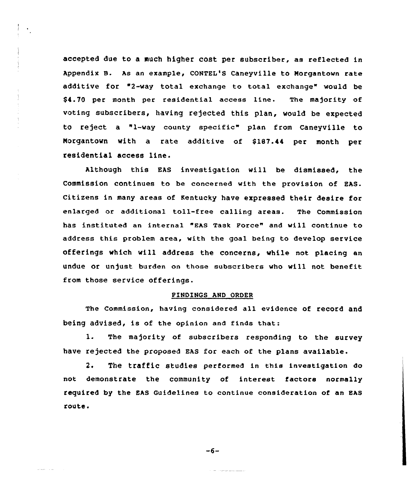accepted due to a much higher cost per subscriber, as reflected in Appendix B. As an example, CONTEL'S Caneyville to Norgantown rate additive for "2-way total exchange to total exchange" would be \$4.70 per month per residential access line. The majority of voting subscribers, having rejected this plan, would be expected to reject a "1-way county specific" plan from Caneyville to Morgantown with a rate additive of \$187.44 per month per residential access line.

Although this EAS investigation will be dismissed, the CommissiOn continues to be concerned with the provision of EAS. Citizens in many areas of Kentucky have expressed their desire for enlarged or additional toll-free calling areas. The Commission has instituted an internal "EAs Task Force" and will continue to address this problem area, with the goal being to develop service offerings which will address the concerns, while not placing an undue or unjust burden on those subscribers who will not benefit from those service offerings.

#### FINDINGS AND ORDER

The Commission, having considered all evidence of record and being advised, is of the opinion and finds that:

l. The majority of subscribers responding to the survey have rejected the proposed EAS for each of the plans available.

2. The traffiC Studies performed in this investigation do not demonstrate the community of interest factors normally required by the EAS Guidelines to continue consideration of an EAS route.

$$
-6-
$$

and special control.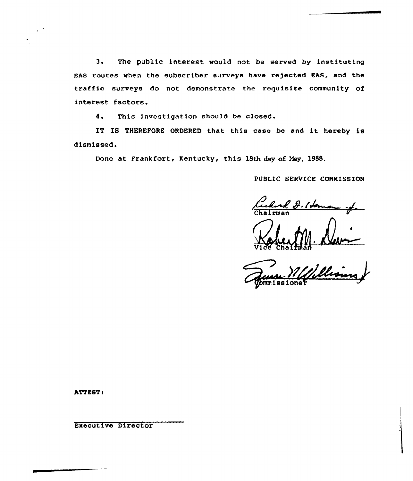3. The public interest would not be served by instituting EAS routes when the subscriber surveys have re)ected EAS, and the traffic surveys do not demonstrate the requisite community of interest factors.

4. This investigation should be closed.

IT IS THEREFORE ORDERED that this case be and it hereby is dismissed,

Done at Frankfort, Kentucky, this 18th day of May, 1988.

PUBLIC SERVICE COMMISSION

Culorl D. Herman of

Williams mmissione

hTTESTa

Executive Director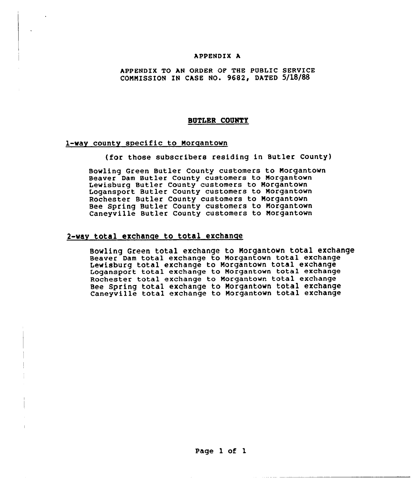#### APPENDIX A

APPENDIX TO AN ORDER OF THE PUBLIC SERVICE COMMISSION IN CASE NO. 9682, DATED 5/18/88

#### BUTLER COUNTY

#### 1-way county specific to Moraantown

(for those subscribers residing in Butler County)

Bowling Green Butler County customers to Morgantown Beaver Dam Butler County customers to Morgantown Lewisburg Butler County customers to Morgantown Logansport Butler County customers to Morgantown Rochester Butler County customers to Morgantown Bee Spring Butler County customers to Morgantown Caneyville Butler County customers to Morgantown

#### 2-wav total exchange to total exchange

Bowling Green total exchange to Morgantown total exchange Beaver Dam total exchange to Morgantown total exchange Lewisburg total exchange to Morgantown total exchange Logansport total exchange to Morgantown total exchange Rochester total exchange to Morgantown total exchange Bee Spring total exchange to Morgantown total exchange Caneyville total exchange to Morgantown total exchange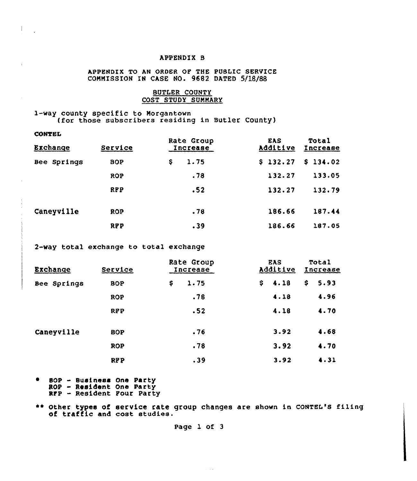#### APPENDIX B

### APPENDIX TO AN ORDER OF THE PUBLIC SERVICE COMMISSION IN CASE NO. 9682 DATED 5/18/88

# BUTLER COUNTY COST STUDY SUMMARY

#### 1-way county specific to Morqantown (for those subscribers residing in Butler County)

| -------     |            | Rate Group | <b>EAS</b> | Total    |
|-------------|------------|------------|------------|----------|
| Exchange    | Service    | Increase   | Additive   | Increase |
| Bee Springs | <b>BOP</b> | Ş<br>1.75  | \$132.27   | \$134.02 |
|             | <b>ROP</b> | .78        | 132.27     | 133.05   |
|             | <b>RFP</b> | .52        | 132.27     | 132.79   |
| Caneyville  | <b>ROP</b> | .78        | 186.66     | 187.44   |
|             | <b>RPP</b> | .39        | 186.66     | 187.05   |

2-way total exchange to total exchange

CONTECT

| Exchange    | Service    | Rate Group<br>Increase | <b>EAS</b><br>Additive | Total<br><b>Increase</b> |
|-------------|------------|------------------------|------------------------|--------------------------|
| Bee Springs | <b>BOP</b> | Ş<br>1.75              | 4.18<br>\$             | \$<br>5.93               |
|             | ROP        | .78                    | 4.18                   | 4.96                     |
|             | <b>RFP</b> | .52                    | 4.18                   | 4.70                     |
| Caneyville  | <b>BOP</b> | .76                    | 3.92                   | 4.68                     |
|             | <b>ROP</b> | .78                    | 3.92                   | 4.70                     |
|             | <b>RFP</b> | .39                    | 3.92                   | 4.31                     |

<sup>~</sup> SOP - Business One Party BOP - Business One Party<br>ROP - Resident One Party RFP —Resident Four Party

\*\* Other types of service rate group changes are shown in CONTEL'S filing of traffic and cost studies.

 $\sim 10$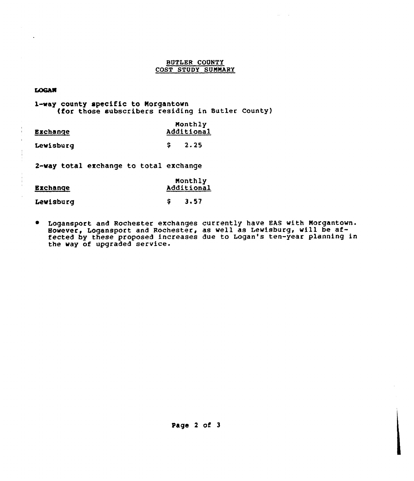#### SUTLER COUNTY COST STUDY SUNNARY

#### **LOGAN**

1-way county specific to Norgantown {for those subscribers residing in Sutler County)

|                 | Monthly    |
|-----------------|------------|
| <b>Exchange</b> | Additional |

Lewisburg  $$2.25$ 

2-way total exchange to total exchange

| <b>Exchange</b> | Monthly<br>Additional |  |  |
|-----------------|-----------------------|--|--|
| Lewisburg       | 3.57                  |  |  |

<sup>~</sup> Logansport and Rochester exchanges currently have EAS with Norgantown. Logansport and Rochester exchanges currently have the with Horganicum<br>However, Logansport and Rochester, as well as Lewisburg, will be affected by these proposed increases due to Logan's ten-year planning in the way of upgraded service.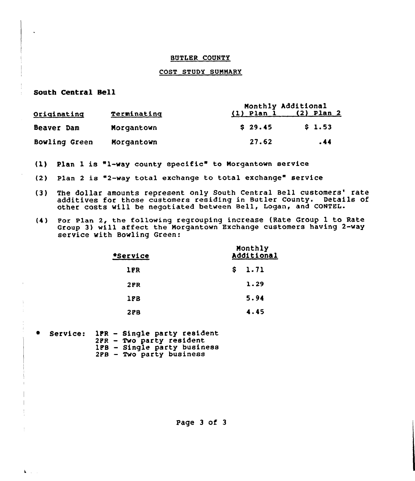#### BUTLER COUNTY

#### COST STUDY SUNNARY

#### South Central Sell

 $\mathbf{k}$  ,  $\mathbf{r}$  ,  $\mathbf{r}$ 

|                      |             | Monthly Additional        |        |  |
|----------------------|-------------|---------------------------|--------|--|
| Originating          | Terminating | $(1)$ Plan 1 $(2)$ Plan 2 |        |  |
| Beaver Dam           | Morgantown  | \$29.45                   | \$1.53 |  |
| <b>Bowling Green</b> | Morgantown  | 27.62                     | . 44   |  |

- (1) Plan <sup>1</sup> is "1-way county specific" to Norgantown service
- (2) Plan <sup>2</sup> is "2-way total exchange to total exchange" service
- (3) The dollar amounts represent only South Central Bell customers' rate additives for those customers residing in Butler County. Details of other costs will be negotiated between Bell, Logan, and CONTEL.
- (4) Pox Plan 2, the following regrouping increase (Rate Group 1 to Rate Group 3) will affect the Norgantown Exchange customers having 2-way service with Bowling Green:

| <u>*Service</u> | Monthly<br>Additional |      |  |
|-----------------|-----------------------|------|--|
| <b>1FR</b>      | s                     | 1.71 |  |
| 2 F R           |                       | 1.29 |  |
| 1FB             |                       | 5.94 |  |
| 2PB             |                       | 4.45 |  |

<sup>~</sup> Service: 1FR — Single party resident 2FR — Two party resident 1PB — Single party business 2PB — Two party business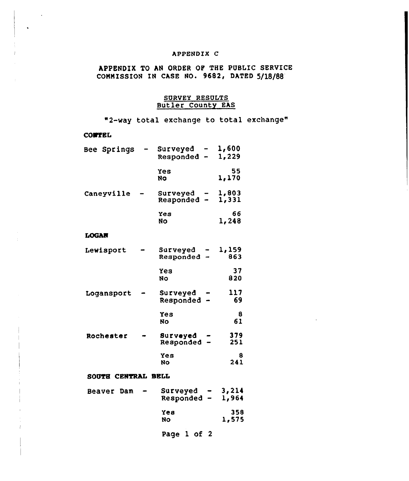## APPENDIX C

# APPENDIX TO AN ORDER OP THE PUBLIC SERVICE COMMISSION IN CASE NO. 9682, DATED 5/18/88

## <u>RESULTS</u> Butler County EAS

|                    | "2-way total exchange to total exchange |                   |  |
|--------------------|-----------------------------------------|-------------------|--|
| <b>CONTEL</b>      |                                         |                   |  |
| Bee Springs        | Surveyed $-1,600$<br>Responded -        | 1,229             |  |
|                    | Yes<br>No                               | 55<br>1,170       |  |
| Caneyville         | Surveyed<br>Responded $\overline{ }$    | 1,803<br>1,331    |  |
|                    | Yes<br>No.                              | 66<br>1,248       |  |
| <b>LOGAN</b>       |                                         |                   |  |
| Lewisport          | Surveyed $-1,159$<br>Responded -        | 863               |  |
|                    | Yes<br>No.                              | 37<br>820         |  |
| Logansport         | Surveyed<br>Responded -                 | 117<br>69         |  |
|                    | Yes<br>No.                              | 8<br>61           |  |
| Rochester          | Surveyed<br>Responded -                 | 379<br>251        |  |
|                    | Yes<br>No.                              | 8<br>241          |  |
| SOUTH CENTRAL BELL |                                         |                   |  |
| Beaver Dam         | Surveyed<br>Responded                   | 3,214<br>$-1,964$ |  |
|                    | үев<br>No.                              | 358<br>1,575      |  |
|                    | Page 1 of 2                             |                   |  |